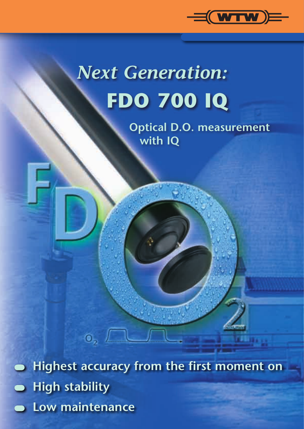

## *Next Generation:* **FDO 700 IQ**

**Optical D.O. measurement with IQ**

 **Highest accuracy from the first moment on**  $\bullet$  **High stability Low maintenance**

 $\mathbf{0}$ <sub>2</sub>  $\mathbf{0}$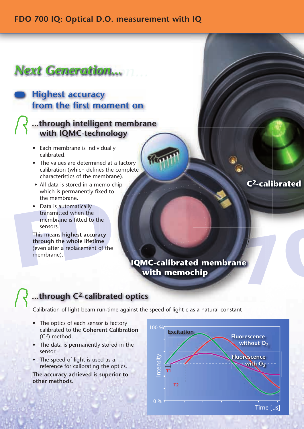#### *Next Generation...*

## **from the first moment on**

# **Example 18 All of the first moment on**<br>  **with lQMC-technology**<br>
<br>  **with lQMC-technology**<br>
<br>  **Each membrane** is individually<br>
calibrated.<br>
<br> **Calibrated.**<br>
<br> **Calibrated.**<br>
<br> **Calibrated in a memochip**<br>
<br> **CALI data is ...through intelligent membrane with IQMC-technology**

- Each membrane is individually calibrated.
- The values are determined at a factory calibration (which defines the complete characteristics of the membrane).
- All data is stored in a memo chip which is permanently fixed to the membrane.
- Data is automatically transmitted when the membrane is fitted to the sensors.

which is permanently fixed to<br>the membrane.<br>
• Data is automatically<br>
transmitted when the<br>
membrane is fitted to the<br>
sensors.<br>
This means highest accuracy<br>
through the whole lifetime<br>
(even after a replacement of the<br>
me This means **highest accuracy through the whole lifetime** (even after a replacement of the membrane).

**C2-calibrated** 

**.** 

### **IQMC-calibrated membrane**

#### **...through C2-calibrated optics**

Calibration of light beam run-time against the speed of light c as a natural constant

- The optics of each sensor is factory calibrated to the **Coherent Calibration** (C2) method.
- The data is permanently stored in the sensor.
- The speed of light is used as a reference for calibrating the optics.

**The accuracy achieved is superior to other methods**.

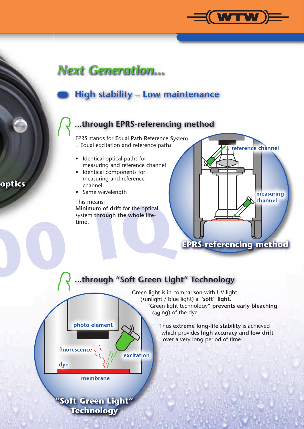

#### **High stability – Low maintenance**

#### **...through EPRS-referencing method**

EPRS stands for **E**qual **P**ath **R**eference **S**ystem = Equal excitation and reference paths

- Identical optical paths for measuring and reference channel
- Identical components for measuring and reference channel
- Same wavelength

This means:

**700 IQ Minimum of drift** for the optical system **through the whole lifetime.**



#### **...through "Soft Green Light" Technology**



Green light is in comparison with UV light (sunlight / blue light) a **"soft" light.** "Green light technology" **prevents early bleaching** (aging) of the dye.

> Thus **extreme long-life stability** is achieved which provides **high accuracy and low drift** over a very long period of time.

#### **optics**